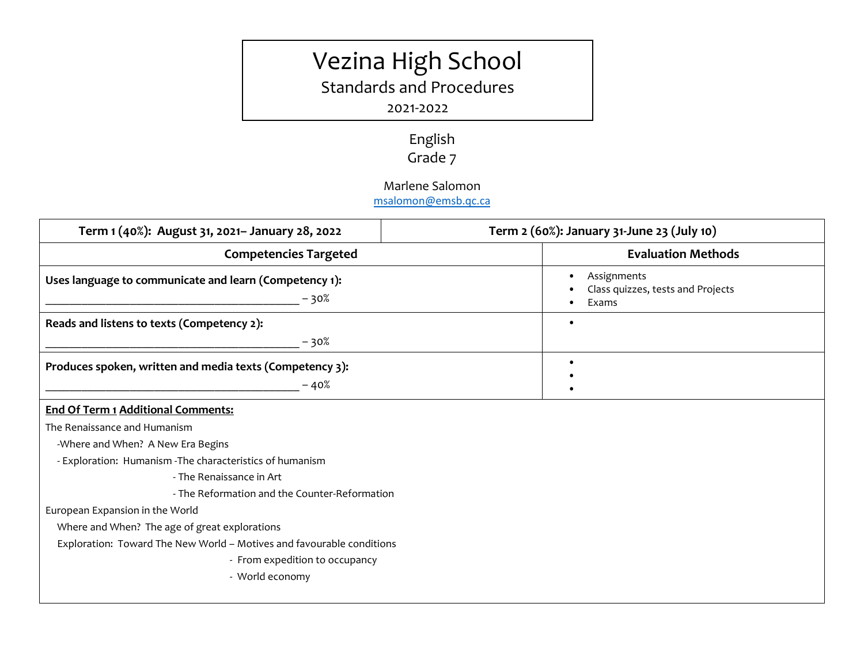# Vezina High School

Standards and Procedures

### 2021-2022

## English Grade 7

#### Marlene Salomon

[msalomon@emsb.qc.ca](http://?)

| Term 2 (60%): January 31-June 23 (July 10)                            |
|-----------------------------------------------------------------------|
| <b>Evaluation Methods</b>                                             |
| Assignments<br>Class quizzes, tests and Projects<br>Exams             |
| $\bullet$                                                             |
|                                                                       |
| $\bullet$                                                             |
|                                                                       |
|                                                                       |
|                                                                       |
|                                                                       |
|                                                                       |
|                                                                       |
| - The Reformation and the Counter-Reformation                         |
|                                                                       |
|                                                                       |
| Exploration: Toward The New World - Motives and favourable conditions |
|                                                                       |
|                                                                       |
|                                                                       |